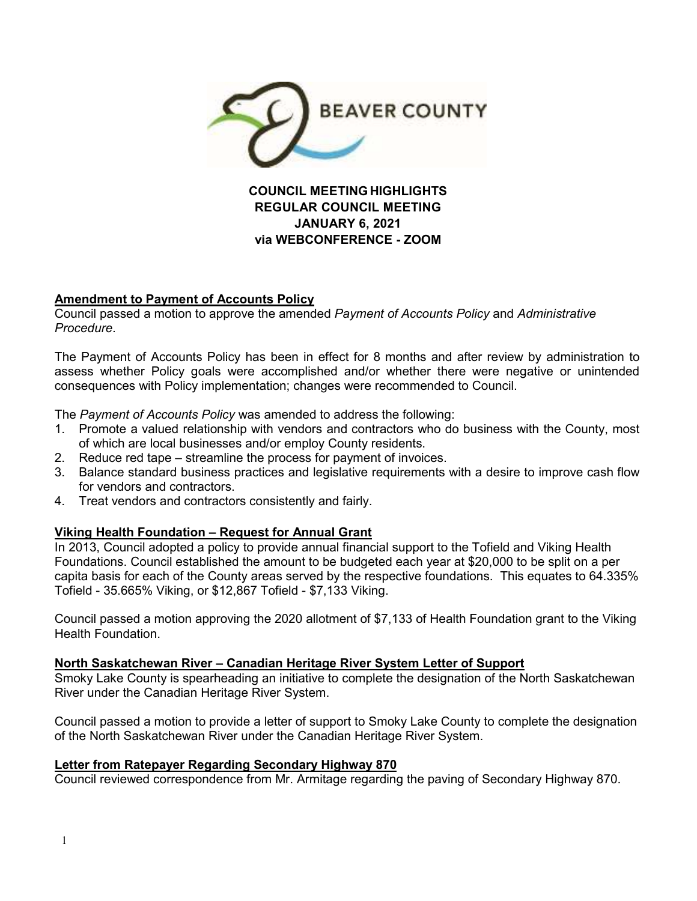

**REGULAR COUNCIL MEETING JANUARY 6, 2021 via WEBCONFERENCE - ZOOM** 

#### **Amendment to Payment of Accounts Policy**

Council passed a motion to approve the amended *Payment of Accounts Policy* and *Administrative Procedure*.

The Payment of Accounts Policy has been in effect for 8 months and after review by administration to assess whether Policy goals were accomplished and/or whether there were negative or unintended consequences with Policy implementation; changes were recommended to Council.

The *Payment of Accounts Policy* was amended to address the following:

- 1. Promote a valued relationship with vendors and contractors who do business with the County, most of which are local businesses and/or employ County residents.
- 2. Reduce red tape streamline the process for payment of invoices.
- 3. Balance standard business practices and legislative requirements with a desire to improve cash flow for vendors and contractors.
- 4. Treat vendors and contractors consistently and fairly.

#### **Viking Health Foundation – Request for Annual Grant**

In 2013, Council adopted a policy to provide annual financial support to the Tofield and Viking Health Foundations. Council established the amount to be budgeted each year at \$20,000 to be split on a per capita basis for each of the County areas served by the respective foundations. This equates to 64.335% Tofield - 35.665% Viking, or \$12,867 Tofield - \$7,133 Viking.

Council passed a motion approving the 2020 allotment of \$7,133 of Health Foundation grant to the Viking Health Foundation.

**North Saskatchewan River – Canadian Heritage River System Letter of Support** 

Smoky Lake County is spearheading an initiative to complete the designation of the North Saskatchewan River under the Canadian Heritage River System.

Council passed a motion to provide a letter of support to Smoky Lake County to complete the designation of the North Saskatchewan River under the Canadian Heritage River System.

#### **Letter from Ratepayer Regarding Secondary Highway 870**

Council reviewed correspondence from Mr. Armitage regarding the paving of Secondary Highway 870.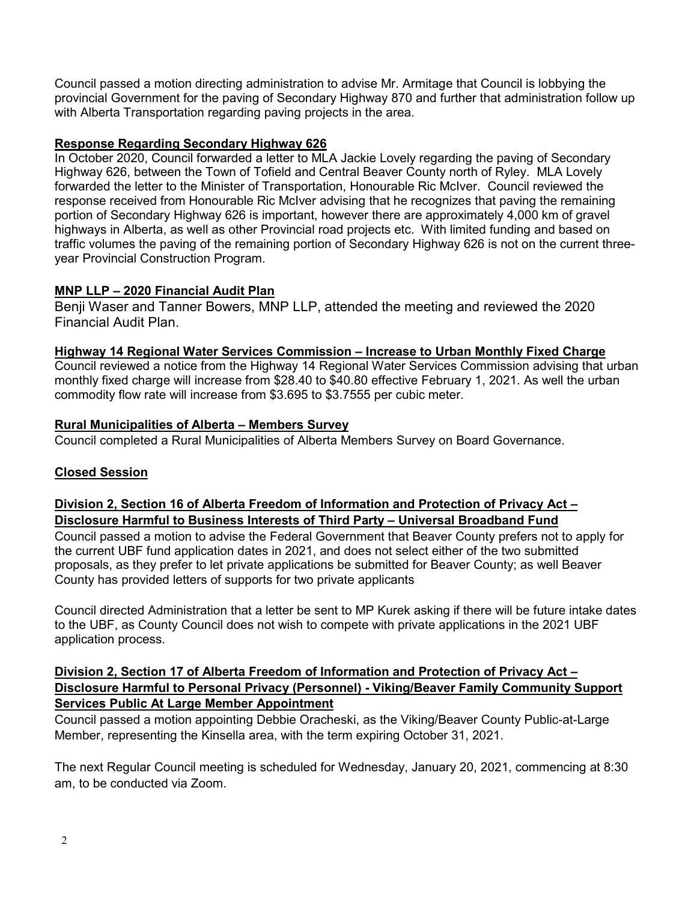Council passed a motion directing administration to advise Mr. Armitage that Council is lobbying the provincial Government for the paving of Secondary Highway 870 and further that administration follow up with Alberta Transportation regarding paving projects in the area.

## **Response Regarding Secondary Highway 626**

In October 2020, Council forwarded a letter to MLA Jackie Lovely regarding the paving of Secondary Highway 626, between the Town of Tofield and Central Beaver County north of Ryley. MLA Lovely forwarded the letter to the Minister of Transportation, Honourable Ric McIver. Council reviewed the response received from Honourable Ric McIver advising that he recognizes that paving the remaining portion of Secondary Highway 626 is important, however there are approximately 4,000 km of gravel highways in Alberta, as well as other Provincial road projects etc. With limited funding and based on traffic volumes the paving of the remaining portion of Secondary Highway 626 is not on the current threeyear Provincial Construction Program.

# **MNP LLP – 2020 Financial Audit Plan**

Benji Waser and Tanner Bowers, MNP LLP, attended the meeting and reviewed the 2020 Financial Audit Plan.

## **Highway 14 Regional Water Services Commission – Increase to Urban Monthly Fixed Charge**

Council reviewed a notice from the Highway 14 Regional Water Services Commission advising that urban monthly fixed charge will increase from \$28.40 to \$40.80 effective February 1, 2021. As well the urban commodity flow rate will increase from \$3.695 to \$3.7555 per cubic meter.

## **Rural Municipalities of Alberta – Members Survey**

Council completed a Rural Municipalities of Alberta Members Survey on Board Governance.

## **Closed Session**

# **Division 2, Section 16 of Alberta Freedom of Information and Protection of Privacy Act – Disclosure Harmful to Business Interests of Third Party – Universal Broadband Fund**

Council passed a motion to advise the Federal Government that Beaver County prefers not to apply for the current UBF fund application dates in 2021, and does not select either of the two submitted proposals, as they prefer to let private applications be submitted for Beaver County; as well Beaver County has provided letters of supports for two private applicants

Council directed Administration that a letter be sent to MP Kurek asking if there will be future intake dates to the UBF, as County Council does not wish to compete with private applications in the 2021 UBF application process.

#### **Division 2, Section 17 of Alberta Freedom of Information and Protection of Privacy Act – Disclosure Harmful to Personal Privacy (Personnel) - Viking/Beaver Family Community Support Services Public At Large Member Appointment**

Council passed a motion appointing Debbie Oracheski, as the Viking/Beaver County Public-at-Large Member, representing the Kinsella area, with the term expiring October 31, 2021.

The next Regular Council meeting is scheduled for Wednesday, January 20, 2021, commencing at 8:30 am, to be conducted via Zoom.